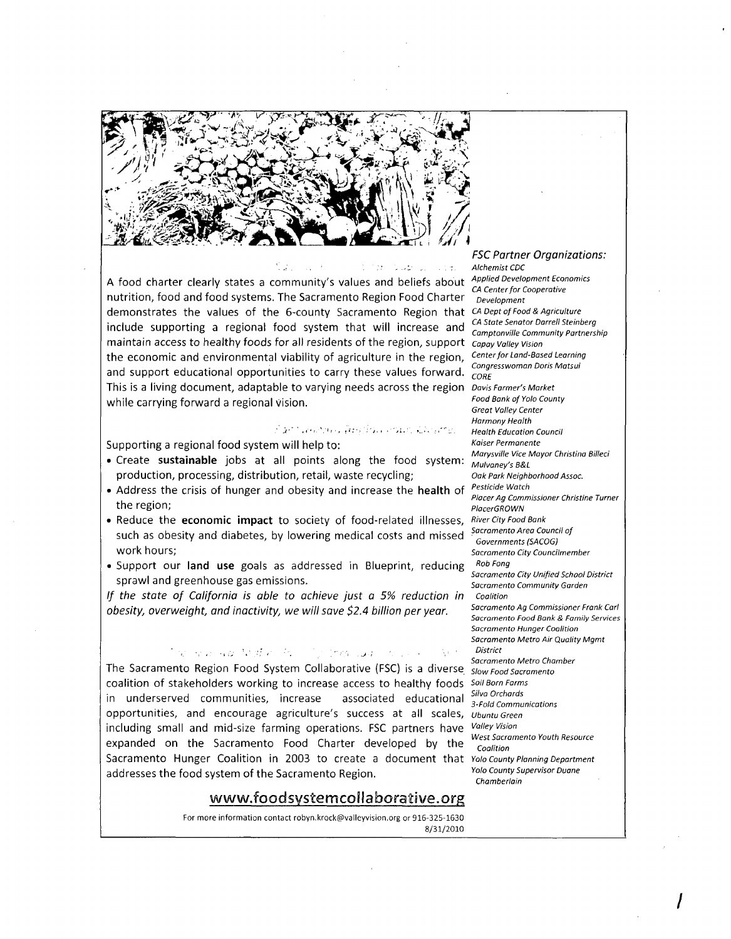

A food charter clearly states a community's values and beliefs about nutrition, food and food systems. The Sacramento Region Food Charter demonstrates the values of the 6-county Sacramento Region that include supporting a regional food system that will increase and maintain access to healthy foods for all residents of the region, support capay Valley Vision the economic and environmental viability of agriculture in the region, and support educational opportunities to carry these values forward. This is a living document, adaptable to varying needs across the region Davis Farmer's Market while carrying forward a regional vision.

## ร้านการเพราะหลัง เมื่ออาทินเจ้าอเมราะได้รองกาย

Supporting a regional food system will help to:

- Create **sustainable** jobs at all points along the food system: production, processing, distribution, retail, waste recycling;
- Address the crisis of hunger and obesity and increase the **health** of the region;
- Reduce the **economic impact** to society of food-related illnesses, such as obesity and diabetes, by lowering medical costs and missed work hours;
- Support our **land use** goals as addressed in Blueprint, reducing sprawl and greenhouse gas emissions.

*If the state of California is able* to *achieve just a* 5% *reduction in obesity, overweight, and inactivity,* we *will save* \$2.4 *billion per year.* 

## . The result and  $\Lambda$  off  $v$  ,  $h$  is . The linear state of since  $v$

The Sacramento Region Food System Collaborative (FSC) is a diverse Slow Food Sacramento coalition of stakeholders working to increase access to healthy foods Soil Born Farms<br>in underscaped communities, increased consistent to the situation Silva Orchards in underserved communities, increase associated educational *Silva Orchards* opportunities, and encourage agriculture's success at all scales, Ubuntu Green including small and mid-size farming operations. FSC partners have Valley Vision West Sacramento Youth Resource expanded on the Sacramento Food Charter developed by the  $\frac{WESI-SGCIR}{Coalition}$ Sacramento Hunger Coalition in 2003 to create a document that Yolo County Planning Department addresses the food system of the Sacramento Region. Yolo County Supervisor Duane

## www.foodsystemcoilaborative.org

For more information contact robyn.krock@valleyvision.org or 916-325-1630 8/31/2010

*FSC Partner Organizations:* 

Alchemist CDC Applied Development Economics CA Center for Cooperative Development CA Dept of Food & Agriculture CA State Senator Darrell Steinberg Camptonville Community Partnership Center for Land-Based Learning Congresswoman Doris Matsui CORE Food Bank of Yolo County Great Valley Center Harmony Health Health Education Council Kaiser Permanente Marysville Vice Mayor Christina Billeci Mulvaney's B&L Oak Park Neighborhood Assoc. Pesticide Watch Placer Ag Commissioner Christine Turner PlacerGROWN River City Food Bank Sacramento Area Council of Governments (SACOG) Sacramento City Councilmember Rob Fang Sacramento City Unified School District Sacramento Community Garden Coalition Sacramento Ag Commissioner Frank Carl Sacramento Food Bank & Family Services Sacramento Hunger Coalition Sacramento Metro Air Quality Mgmt District Sacramento Metro Chamber Chamberlain

I